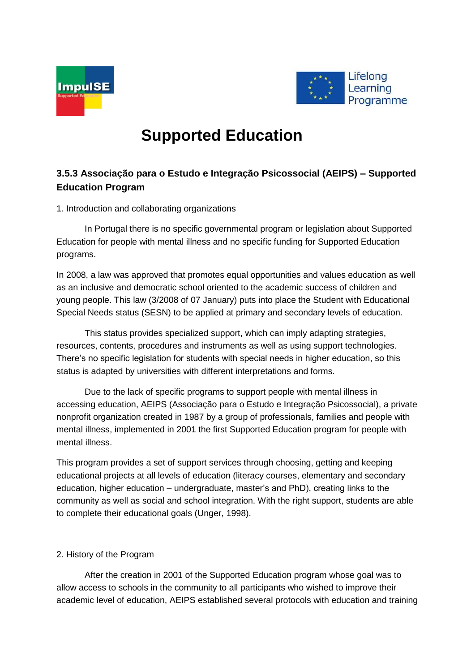



# **Supported Education**

## **3.5.3 Associação para o Estudo e Integração Psicossocial (AEIPS) – Supported Education Program**

1. Introduction and collaborating organizations

In Portugal there is no specific governmental program or legislation about Supported Education for people with mental illness and no specific funding for Supported Education programs.

In 2008, a law was approved that promotes equal opportunities and values education as well as an inclusive and democratic school oriented to the academic success of children and young people. This law (3/2008 of 07 January) puts into place the Student with Educational Special Needs status (SESN) to be applied at primary and secondary levels of education.

This status provides specialized support, which can imply adapting strategies, resources, contents, procedures and instruments as well as using support technologies. There's no specific legislation for students with special needs in higher education, so this status is adapted by universities with different interpretations and forms.

Due to the lack of specific programs to support people with mental illness in accessing education, AEIPS (Associação para o Estudo e Integração Psicossocial), a private nonprofit organization created in 1987 by a group of professionals, families and people with mental illness, implemented in 2001 the first Supported Education program for people with mental illness.

This program provides a set of support services through choosing, getting and keeping educational projects at all levels of education (literacy courses, elementary and secondary education, higher education – undergraduate, master's and PhD), creating links to the community as well as social and school integration. With the right support, students are able to complete their educational goals (Unger, 1998).

## 2. History of the Program

After the creation in 2001 of the Supported Education program whose goal was to allow access to schools in the community to all participants who wished to improve their academic level of education, AEIPS established several protocols with education and training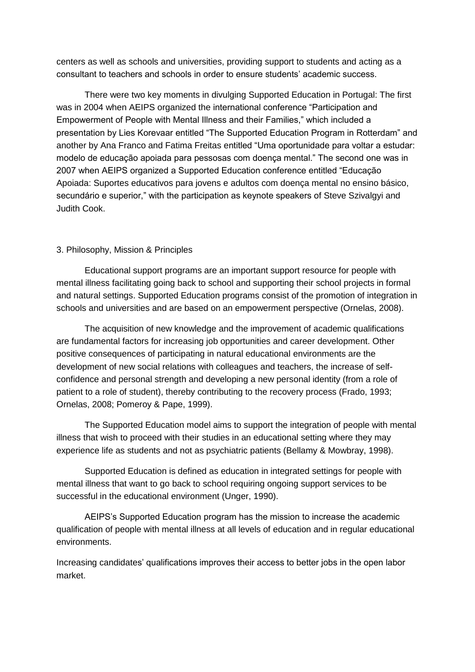centers as well as schools and universities, providing support to students and acting as a consultant to teachers and schools in order to ensure students' academic success.

There were two key moments in divulging Supported Education in Portugal: The first was in 2004 when AEIPS organized the international conference "Participation and Empowerment of People with Mental Illness and their Families," which included a presentation by Lies Korevaar entitled "The Supported Education Program in Rotterdam" and another by Ana Franco and Fatima Freitas entitled "Uma oportunidade para voltar a estudar: modelo de educação apoiada para pessosas com doença mental." The second one was in 2007 when AEIPS organized a Supported Education conference entitled "Educação Apoiada: Suportes educativos para jovens e adultos com doença mental no ensino básico, secundário e superior," with the participation as keynote speakers of Steve Szivalgyi and Judith Cook.

## 3. Philosophy, Mission & Principles

Educational support programs are an important support resource for people with mental illness facilitating going back to school and supporting their school projects in formal and natural settings. Supported Education programs consist of the promotion of integration in schools and universities and are based on an empowerment perspective (Ornelas, 2008).

The acquisition of new knowledge and the improvement of academic qualifications are fundamental factors for increasing job opportunities and career development. Other positive consequences of participating in natural educational environments are the development of new social relations with colleagues and teachers, the increase of selfconfidence and personal strength and developing a new personal identity (from a role of patient to a role of student), thereby contributing to the recovery process (Frado, 1993; Ornelas, 2008; Pomeroy & Pape, 1999).

The Supported Education model aims to support the integration of people with mental illness that wish to proceed with their studies in an educational setting where they may experience life as students and not as psychiatric patients (Bellamy & Mowbray, 1998).

Supported Education is defined as education in integrated settings for people with mental illness that want to go back to school requiring ongoing support services to be successful in the educational environment (Unger, 1990).

AEIPS's Supported Education program has the mission to increase the academic qualification of people with mental illness at all levels of education and in regular educational environments.

Increasing candidates' qualifications improves their access to better jobs in the open labor market.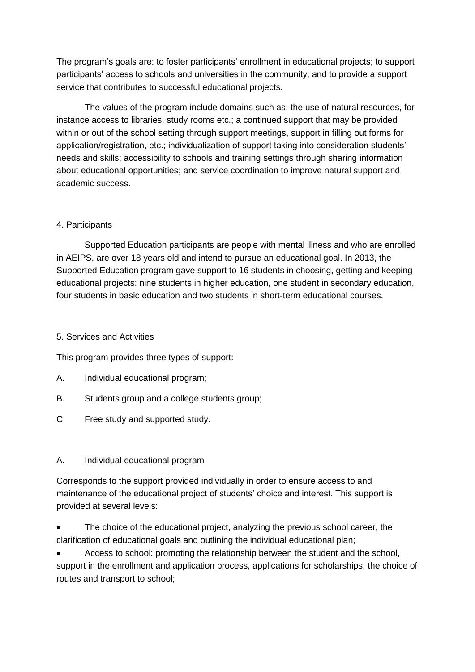The program's goals are: to foster participants' enrollment in educational projects; to support participants' access to schools and universities in the community; and to provide a support service that contributes to successful educational projects.

The values of the program include domains such as: the use of natural resources, for instance access to libraries, study rooms etc.; a continued support that may be provided within or out of the school setting through support meetings, support in filling out forms for application/registration, etc.; individualization of support taking into consideration students' needs and skills; accessibility to schools and training settings through sharing information about educational opportunities; and service coordination to improve natural support and academic success.

## 4. Participants

Supported Education participants are people with mental illness and who are enrolled in AEIPS, are over 18 years old and intend to pursue an educational goal. In 2013, the Supported Education program gave support to 16 students in choosing, getting and keeping educational projects: nine students in higher education, one student in secondary education, four students in basic education and two students in short-term educational courses.

## 5. Services and Activities

This program provides three types of support:

- A. Individual educational program;
- B. Students group and a college students group;
- C. Free study and supported study.

## A. Individual educational program

Corresponds to the support provided individually in order to ensure access to and maintenance of the educational project of students' choice and interest. This support is provided at several levels:

 The choice of the educational project, analyzing the previous school career, the clarification of educational goals and outlining the individual educational plan;

 Access to school: promoting the relationship between the student and the school, support in the enrollment and application process, applications for scholarships, the choice of routes and transport to school;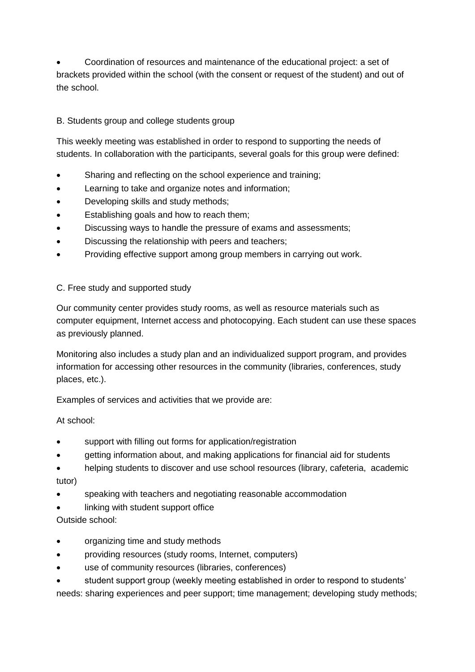Coordination of resources and maintenance of the educational project: a set of brackets provided within the school (with the consent or request of the student) and out of the school.

## B. Students group and college students group

This weekly meeting was established in order to respond to supporting the needs of students. In collaboration with the participants, several goals for this group were defined:

- Sharing and reflecting on the school experience and training;
- Learning to take and organize notes and information;
- Developing skills and study methods;
- Establishing goals and how to reach them;
- Discussing ways to handle the pressure of exams and assessments;
- **•** Discussing the relationship with peers and teachers;
- Providing effective support among group members in carrying out work.

## C. Free study and supported study

Our community center provides study rooms, as well as resource materials such as computer equipment, Internet access and photocopying. Each student can use these spaces as previously planned.

Monitoring also includes a study plan and an individualized support program, and provides information for accessing other resources in the community (libraries, conferences, study places, etc.).

Examples of services and activities that we provide are:

At school:

- support with filling out forms for application/registration
- getting information about, and making applications for financial aid for students
- helping students to discover and use school resources (library, cafeteria, academic tutor)
- speaking with teachers and negotiating reasonable accommodation
- linking with student support office

Outside school:

- organizing time and study methods
- providing resources (study rooms, Internet, computers)
- use of community resources (libraries, conferences)
- student support group (weekly meeting established in order to respond to students'

needs: sharing experiences and peer support; time management; developing study methods;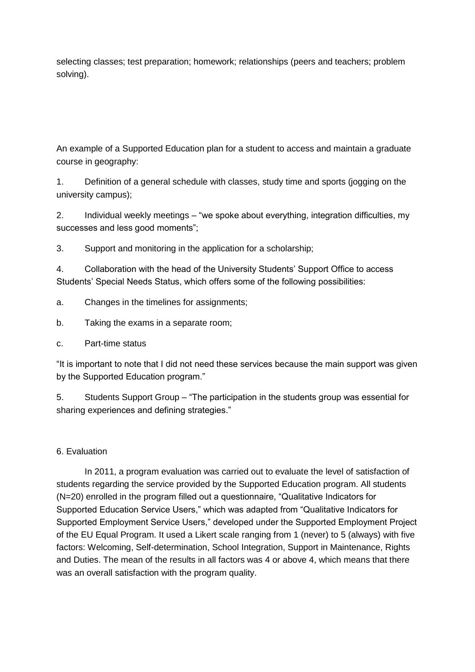selecting classes; test preparation; homework; relationships (peers and teachers; problem solving).

An example of a Supported Education plan for a student to access and maintain a graduate course in geography:

1. Definition of a general schedule with classes, study time and sports (jogging on the university campus);

2. Individual weekly meetings – "we spoke about everything, integration difficulties, my successes and less good moments";

3. Support and monitoring in the application for a scholarship;

4. Collaboration with the head of the University Students' Support Office to access Students' Special Needs Status, which offers some of the following possibilities:

- a. Changes in the timelines for assignments;
- b. Taking the exams in a separate room;
- c. Part-time status

"It is important to note that I did not need these services because the main support was given by the Supported Education program."

5. Students Support Group – "The participation in the students group was essential for sharing experiences and defining strategies."

## 6. Evaluation

In 2011, a program evaluation was carried out to evaluate the level of satisfaction of students regarding the service provided by the Supported Education program. All students (N=20) enrolled in the program filled out a questionnaire, "Qualitative Indicators for Supported Education Service Users," which was adapted from "Qualitative Indicators for Supported Employment Service Users," developed under the Supported Employment Project of the EU Equal Program. It used a Likert scale ranging from 1 (never) to 5 (always) with five factors: Welcoming, Self-determination, School Integration, Support in Maintenance, Rights and Duties. The mean of the results in all factors was 4 or above 4, which means that there was an overall satisfaction with the program quality.